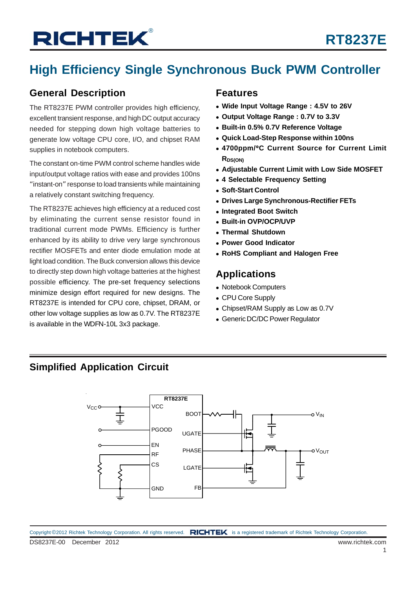## **High Efficiency Single Synchronous Buck PWM Controller**

### **General Description**

The RT8237E PWM controller provides high efficiency, excellent transient response, and high DC output accuracy needed for stepping down high voltage batteries to generate low voltage CPU core, I/O, and chipset RAM supplies in notebook computers.

The constant on-time PWM control scheme handles wide input/output voltage ratios with ease and provides 100ns "instant-on" response to load transients while maintaining a relatively constant switching frequency.

The RT8237E achieves high efficiency at a reduced cost by eliminating the current sense resistor found in traditional current mode PWMs. Efficiency is further enhanced by its ability to drive very large synchronous rectifier MOSFETs and enter diode emulation mode at light load condition. The Buck conversion allows this device to directly step down high voltage batteries at the highest possible efficiency. The pre-set frequency selections minimize design effort required for new designs. The RT8237E is intended for CPU core, chipset, DRAM, or other low voltage supplies as low as 0.7V. The RT8237E is available in the WDFN-10L 3x3 package.

#### **Features**

- <sup>z</sup> **Wide Input Voltage Range : 4.5V to 26V**
- <sup>z</sup> **Output Voltage Range : 0.7V to 3.3V**
- <sup>z</sup> **Built-in 0.5% 0.7V Reference Voltage**
- <sup>z</sup> **Quick Load-Step Response within 100ns**
- <sup>z</sup> **4700ppm/**°**C Current Source for Current Limit RDS(ON)**
- **Adjustable Current Limit with Low Side MOSFET**
- **4 Selectable Frequency Setting**
- <sup>z</sup> **Soft-Start Control**
- **Drives Large Synchronous-Rectifier FETs**
- <sup>z</sup> **Integrated Boot Switch**
- <sup>z</sup> **Built-in OVP/OCP/UVP**
- <sup>z</sup> **Thermal Shutdown**
- <sup>z</sup> **Power Good Indicator**
- **RoHS Compliant and Halogen Free**

### **Applications**

- Notebook Computers
- CPU Core Supply
- Chipset/RAM Supply as Low as 0.7V
- Generic DC/DC Power Regulator

### **Simplified Application Circuit**

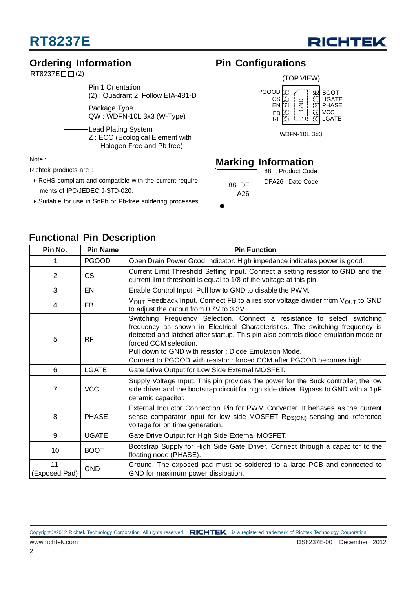



### **Ordering Information**



Note :

Richtek products are :

- ` RoHS compliant and compatible with the current require ments of IPC/JEDEC J-STD-020.
- ` Suitable for use in SnPb or Pb-free soldering processes.

### **Pin Configurations**



### **Marking Information**

|              | 88 : Product Code |
|--------------|-------------------|
| 88 DF<br>A26 | DFA26 : Date Code |
|              |                   |

| Pin No.<br><b>Pin Name</b>                                                                                                                                                                                                                                                                                                                                                                                                |              | <b>Pin Function</b>                                                                                                                                                                                   |  |  |  |
|---------------------------------------------------------------------------------------------------------------------------------------------------------------------------------------------------------------------------------------------------------------------------------------------------------------------------------------------------------------------------------------------------------------------------|--------------|-------------------------------------------------------------------------------------------------------------------------------------------------------------------------------------------------------|--|--|--|
|                                                                                                                                                                                                                                                                                                                                                                                                                           | <b>PGOOD</b> | Open Drain Power Good Indicator. High impedance indicates power is good.                                                                                                                              |  |  |  |
| 2                                                                                                                                                                                                                                                                                                                                                                                                                         | <b>CS</b>    | Current Limit Threshold Setting Input. Connect a setting resistor to GND and the<br>current limit threshold is equal to 1/8 of the voltage at this pin.                                               |  |  |  |
| 3                                                                                                                                                                                                                                                                                                                                                                                                                         | EN.          | Enable Control Input. Pull low to GND to disable the PWM.                                                                                                                                             |  |  |  |
| 4                                                                                                                                                                                                                                                                                                                                                                                                                         | FB.          | $V_{\text{OUT}}$ Feedback Input. Connect FB to a resistor voltage divider from $V_{\text{OUT}}$ to GND<br>to adjust the output from 0.7V to 3.3V                                                      |  |  |  |
| Switching Frequency Selection. Connect a resistance to select switching<br>frequency as shown in Electrical Characteristics. The switching frequency is<br>detected and latched after startup. This pin also controls diode emulation mode or<br>5<br><b>RF</b><br>forced CCM selection.<br>Pull down to GND with resistor: Diode Emulation Mode.<br>Connect to PGOOD with resistor: forced CCM after PGOOD becomes high. |              |                                                                                                                                                                                                       |  |  |  |
| 6                                                                                                                                                                                                                                                                                                                                                                                                                         | LGATE        | Gate Drive Output for Low Side External MOSFET.                                                                                                                                                       |  |  |  |
| $\overline{7}$<br><b>VCC</b>                                                                                                                                                                                                                                                                                                                                                                                              |              | Supply Voltage Input. This pin provides the power for the Buck controller, the low<br>side driver and the bootstrap circuit for high side driver. Bypass to GND with a $1\mu$ F<br>ceramic capacitor. |  |  |  |
| 8                                                                                                                                                                                                                                                                                                                                                                                                                         | <b>PHASE</b> | External Inductor Connection Pin for PWM Converter. It behaves as the current<br>sense comparator input for low side MOSFET $R_{DS(ON)}$ sensing and reference<br>voltage for on time generation.     |  |  |  |
| 9                                                                                                                                                                                                                                                                                                                                                                                                                         | <b>UGATE</b> | Gate Drive Output for High Side External MOSFET.                                                                                                                                                      |  |  |  |
| 10                                                                                                                                                                                                                                                                                                                                                                                                                        | <b>BOOT</b>  | Bootstrap Supply for High Side Gate Driver. Connect through a capacitor to the<br>floating node (PHASE).                                                                                              |  |  |  |
| 11<br><b>GND</b><br>(Exposed Pad)<br>GND for maximum power dissipation.                                                                                                                                                                                                                                                                                                                                                   |              | Ground. The exposed pad must be soldered to a large PCB and connected to                                                                                                                              |  |  |  |

### **Functional Pin Description**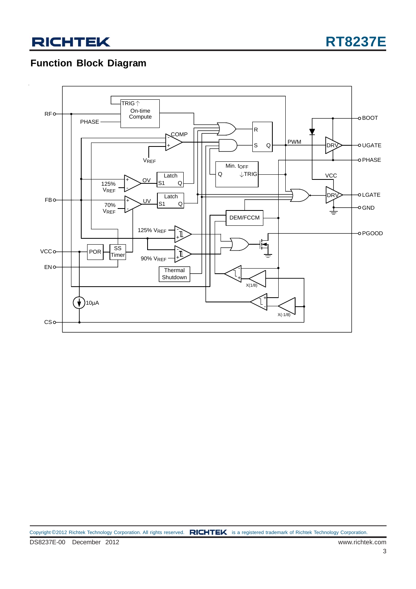## **Function Block Diagram**



Copyright ©2012 Richtek Technology Corporation. All rights reserved. RICHTEK is a registered trademark of Richtek Technology Corporation.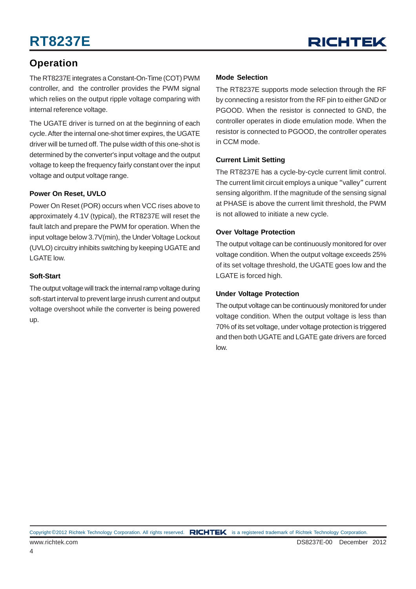

### **Operation**

The RT8237E integrates a Constant-On-Time (COT) PWM controller, and the controller provides the PWM signal which relies on the output ripple voltage comparing with internal reference voltage.

The UGATE driver is turned on at the beginning of each cycle. After the internal one-shot timer expires, the UGATE driver will be turned off. The pulse width of this one-shot is determined by the converter's input voltage and the output voltage to keep the frequency fairly constant over the input voltage and output voltage range.

#### **Power On Reset, UVLO**

Power On Reset (POR) occurs when VCC rises above to approximately 4.1V (typical), the RT8237E will reset the fault latch and prepare the PWM for operation. When the input voltage below 3.7V(min), the Under Voltage Lockout (UVLO) circuitry inhibits switching by keeping UGATE and LGATE low.

#### **Soft-Start**

The output voltage will track the internal ramp voltage during soft-start interval to prevent large inrush current and output voltage overshoot while the converter is being powered up.

#### **Mode Selection**

The RT8237E supports mode selection through the RF by connecting a resistor from the RF pin to either GND or PGOOD. When the resistor is connected to GND, the controller operates in diode emulation mode. When the resistor is connected to PGOOD, the controller operates in CCM mode.

#### **Current Limit Setting**

The RT8237E has a cycle-by-cycle current limit control. The current limit circuit employs a unique "valley" current sensing algorithm. If the magnitude of the sensing signal at PHASE is above the current limit threshold, the PWM is not allowed to initiate a new cycle.

#### **Over Voltage Protection**

The output voltage can be continuously monitored for over voltage condition. When the output voltage exceeds 25% of its set voltage threshold, the UGATE goes low and the LGATE is forced high.

#### **Under Voltage Protection**

The output voltage can be continuously monitored for under voltage condition. When the output voltage is less than 70% of its set voltage, under voltage protection is triggered and then both UGATE and LGATE gate drivers are forced low.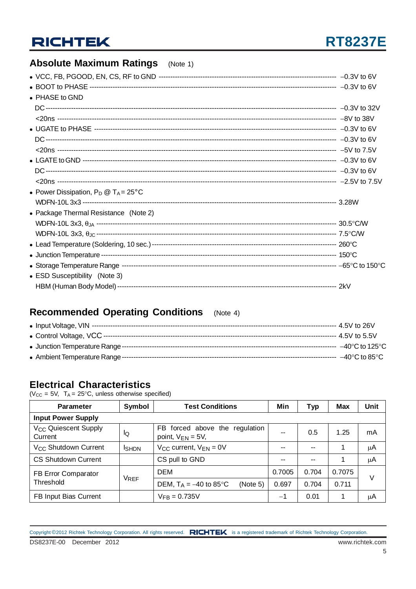## **RT8237E**

### **Absolute Maximum Ratings** (Note 1)

| • PHASE to GND                                 |  |
|------------------------------------------------|--|
|                                                |  |
|                                                |  |
|                                                |  |
|                                                |  |
|                                                |  |
|                                                |  |
|                                                |  |
|                                                |  |
| • Power Dissipation, $P_D @ T_A = 25^{\circ}C$ |  |
|                                                |  |
| • Package Thermal Resistance (Note 2)          |  |
|                                                |  |
|                                                |  |
|                                                |  |
|                                                |  |
|                                                |  |
| • ESD Susceptibility (Note 3)                  |  |
|                                                |  |
|                                                |  |

### **Recommended Operating Conditions** (Note 4)

### **Electrical Characteristics**

( $V_{CC}$  = 5V, T<sub>A</sub> = 25°C, unless otherwise specified)

| <b>Parameter</b>                                  | Symbol        | <b>Test Conditions</b>                                   | Min    | Тур   | Max    | Unit    |
|---------------------------------------------------|---------------|----------------------------------------------------------|--------|-------|--------|---------|
| <b>Input Power Supply</b>                         |               |                                                          |        |       |        |         |
| <b>V<sub>CC</sub></b> Quiescent Supply<br>Current | lQ            | FB forced above the regulation<br>point, $V_{EN} = 5V$ , | --     | 0.5   | 1.25   | mA      |
| V <sub>CC</sub> Shutdown Current                  | <b>I</b> SHDN | $V_{CC}$ current, $V_{EN} = 0V$                          | --     | $-$   |        | $\mu$ A |
| <b>CS Shutdown Current</b>                        |               | CS pull to GND                                           | --     | --    |        | $\mu$ A |
| FB Error Comparator                               |               | <b>DEM</b>                                               | 0.7005 | 0.704 | 0.7075 |         |
| Threshold                                         | <b>VREF</b>   | DEM, $T_A = -40$ to 85 °C<br>(Note 5)                    | 0.697  | 0.704 | 0.711  | V       |
| FB Input Bias Current                             |               | $V_{FB} = 0.735V$                                        | $-1$   | 0.01  |        | $\mu$ A |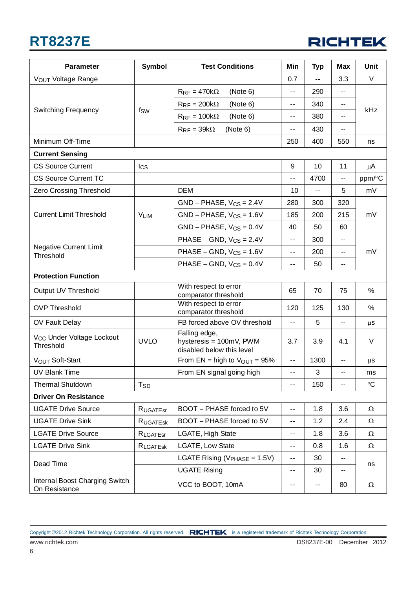

| <b>Parameter</b>                                   | <b>Symbol</b>   | <b>Test Conditions</b>                                                | Min                      | <b>Typ</b> | <b>Max</b>               | Unit            |  |
|----------------------------------------------------|-----------------|-----------------------------------------------------------------------|--------------------------|------------|--------------------------|-----------------|--|
| VOUT Voltage Range                                 |                 |                                                                       | 0.7                      | --         | 3.3                      | V               |  |
|                                                    |                 | $R_{RF} = 470k\Omega$<br>(Note 6)                                     | $-$                      | 290        | $\overline{\phantom{0}}$ | kHz             |  |
|                                                    |                 | $R_{RF} = 200k\Omega$<br>(Note 6)                                     | $\sim$ $\sim$            | 340        | --                       |                 |  |
| <b>Switching Frequency</b>                         | fsw             | $R_{RF} = 100k\Omega$<br>(Note 6)                                     | $\sim$ $\sim$            | 380        | ۰.                       |                 |  |
|                                                    |                 | $R_{RF} = 39k\Omega$<br>(Note 6)                                      | $\sim$ $\sim$            | 430        | --                       |                 |  |
| Minimum Off-Time                                   |                 |                                                                       | 250                      | 400        | 550                      | ns              |  |
| <b>Current Sensing</b>                             |                 |                                                                       |                          |            |                          |                 |  |
| <b>CS Source Current</b>                           | $_{\text{lcs}}$ |                                                                       | 9                        | 10         | 11                       | μA              |  |
| <b>CS Source Current TC</b>                        |                 |                                                                       | --                       | 4700       | --                       | ppm/°C          |  |
| Zero Crossing Threshold                            |                 | <b>DEM</b>                                                            | $-10$                    | --         | 5                        | mV              |  |
|                                                    |                 | $GND - PHASE, V_{CS} = 2.4V$                                          | 280                      | 300        | 320                      |                 |  |
| <b>Current Limit Threshold</b>                     | <b>VLIM</b>     | $GND - PHASE, V_{CS} = 1.6V$                                          | 185                      | 200        | 215                      | mV              |  |
|                                                    |                 | $GND - PHASE, V_{CS} = 0.4V$                                          | 40                       | 50         | 60                       |                 |  |
|                                                    |                 | PHASE – GND, $V_{CS} = 2.4V$                                          | $\overline{\phantom{a}}$ | 300        | --                       | mV              |  |
| <b>Negative Current Limit</b><br>Threshold         |                 | PHASE – GND, $V_{CS} = 1.6V$                                          | $\overline{\phantom{a}}$ | 200        | --                       |                 |  |
|                                                    |                 | PHASE – GND, $V_{CS} = 0.4V$<br>50<br>$\overline{\phantom{a}}$        |                          | ۰.         |                          |                 |  |
| <b>Protection Function</b>                         |                 |                                                                       |                          |            |                          |                 |  |
| Output UV Threshold                                |                 | With respect to error<br>comparator threshold                         | 65                       | 70         | 75                       | %               |  |
| <b>OVP Threshold</b>                               |                 | With respect to error<br>comparator threshold                         | 120                      | 125        | 130                      | $\%$            |  |
| OV Fault Delay                                     |                 | FB forced above OV threshold                                          | $\overline{\phantom{a}}$ | 5          | ۰.                       | μS              |  |
| V <sub>CC</sub> Under Voltage Lockout<br>Threshold | <b>UVLO</b>     | Falling edge,<br>hysteresis = 100mV, PWM<br>disabled below this level | 3.7                      | 3.9        | 4.1                      | $\vee$          |  |
| V <sub>OUT</sub> Soft-Start                        |                 | From EN = high to $V_{OUT}$ = 95%                                     | $\sim$ $-$               | 1300       | --                       | μS              |  |
| <b>UV Blank Time</b>                               |                 | From EN signal going high                                             | $\sim$ $\sim$            | 3          | ۰.                       | ms              |  |
| <b>Thermal Shutdown</b>                            | $T_{SD}$        |                                                                       | $\overline{\phantom{a}}$ | 150        | --                       | $\rm ^{\circ}C$ |  |
| <b>Driver On Resistance</b>                        |                 |                                                                       |                          |            |                          |                 |  |
| <b>UGATE Drive Source</b>                          | <b>RUGATEST</b> | BOOT - PHASE forced to 5V                                             | $\sim$ $-$               | 1.8        | 3.6                      | Ω               |  |
| <b>UGATE Drive Sink</b>                            | RUGATESK        | BOOT - PHASE forced to 5V                                             | $\sim$ $-$               | 1.2        | 2.4                      | Ω               |  |
| <b>LGATE Drive Source</b>                          | RLGATEST        | LGATE, High State                                                     | $\sim$ $-$               | 1.8        | 3.6                      | $\Omega$        |  |
| <b>LGATE Drive Sink</b>                            | RLGATESK        | LGATE, Low State                                                      | $\sim$ $\sim$            | 0.8        | 1.6                      | $\Omega$        |  |
| Dead Time                                          |                 | LGATE Rising ( $V_{PHASE}$ = 1.5V)                                    | $\sim$ $-$               | 30         | --                       | ns              |  |
|                                                    |                 | <b>UGATE Rising</b>                                                   | $\sim$ $-$               | 30         | --                       |                 |  |
| Internal Boost Charging Switch<br>On Resistance    |                 | VCC to BOOT, 10mA                                                     | --                       | ۰-         | 80                       | Ω               |  |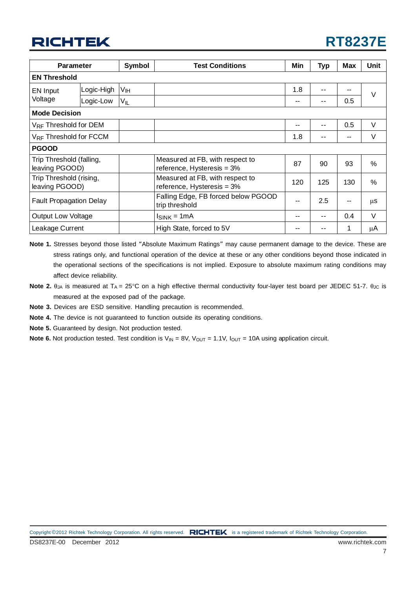

| <b>Symbol</b><br><b>Parameter</b>          |            |          | <b>Test Conditions</b>                                           | Min | Typ   | <b>Max</b> | Unit   |  |  |
|--------------------------------------------|------------|----------|------------------------------------------------------------------|-----|-------|------------|--------|--|--|
| <b>EN Threshold</b>                        |            |          |                                                                  |     |       |            |        |  |  |
| EN Input                                   | Logic-High | Vн       |                                                                  | 1.8 | $ -$  | --         | $\vee$ |  |  |
| Voltage                                    | Logic-Low  | $V_{IL}$ |                                                                  | --  | $- -$ | 0.5        |        |  |  |
| <b>Mode Decision</b>                       |            |          |                                                                  |     |       |            |        |  |  |
| V <sub>RF</sub> Threshold for DEM          |            |          |                                                                  | --  | $- -$ | 0.5        | V      |  |  |
| VRF Threshold for FCCM                     |            |          |                                                                  | 1.8 | $- -$ |            | V      |  |  |
| <b>PGOOD</b>                               |            |          |                                                                  |     |       |            |        |  |  |
| Trip Threshold (falling,<br>leaving PGOOD) |            |          | Measured at FB, with respect to<br>reference, Hysteresis $=$ 3%  | 87  | 90    | 93         | $\%$   |  |  |
| Trip Threshold (rising,<br>leaving PGOOD)  |            |          | Measured at FB, with respect to<br>reference, Hysteresis $= 3\%$ | 120 | 125   | 130        | $\%$   |  |  |
| <b>Fault Propagation Delay</b>             |            |          | Falling Edge, FB forced below PGOOD<br>trip threshold            |     | 2.5   |            | μS     |  |  |
| <b>Output Low Voltage</b>                  |            |          | $Isink = 1mA$                                                    | --  | $- -$ | 0.4        | V      |  |  |
| Leakage Current                            |            |          | High State, forced to 5V                                         | --  |       |            | μA     |  |  |

- **Note 1.** Stresses beyond those listed "Absolute Maximum Ratings" may cause permanent damage to the device. These are stress ratings only, and functional operation of the device at these or any other conditions beyond those indicated in the operational sections of the specifications is not implied. Exposure to absolute maximum rating conditions may affect device reliability.
- **Note 2.** θ<sub>JA</sub> is measured at T<sub>A</sub> = 25°C on a high effective thermal conductivity four-layer test board per JEDEC 51-7. θ<sub>JC</sub> is measured at the exposed pad of the package.
- **Note 3.** Devices are ESD sensitive. Handling precaution is recommended.
- **Note 4.** The device is not guaranteed to function outside its operating conditions.
- **Note 5.** Guaranteed by design. Not production tested.
- **Note 6.** Not production tested. Test condition is  $V_{IN} = 8V$ ,  $V_{OUT} = 1.1V$ ,  $I_{OUT} = 10A$  using application circuit.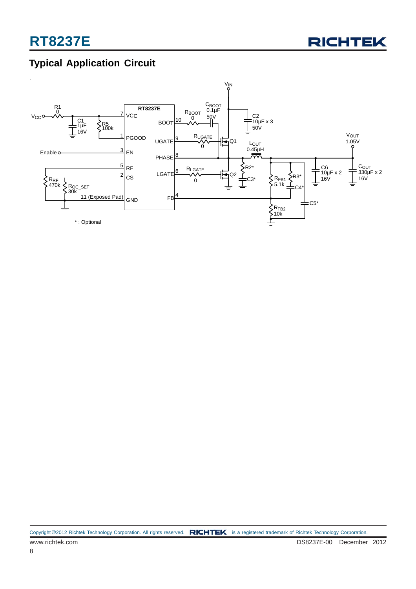

## **Typical Application Circuit**

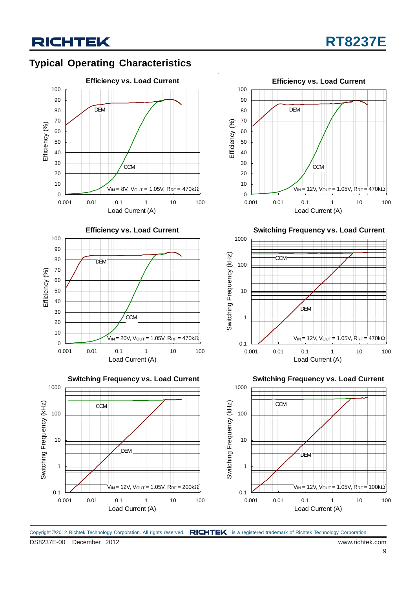## **Typical Operating Characteristics**









**Switching Frequency vs. Load Current**



**Switching Frequency vs. Load Current**



DS8237E-00 December 2012 www.richtek.com Copyright ©2012 Richtek Technology Corporation. All rights reserved. RICHTEK is a registered trademark of Richtek Technology Corporation.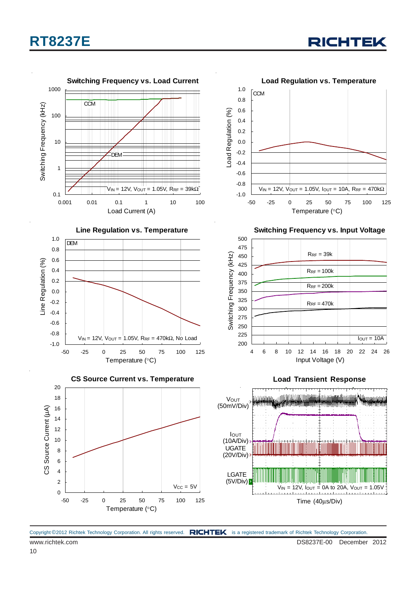





Copyright ©2012 Richtek Technology Corporation. All rights reserved. RICHTEK is a registered trademark of Richtek Technology Corporation.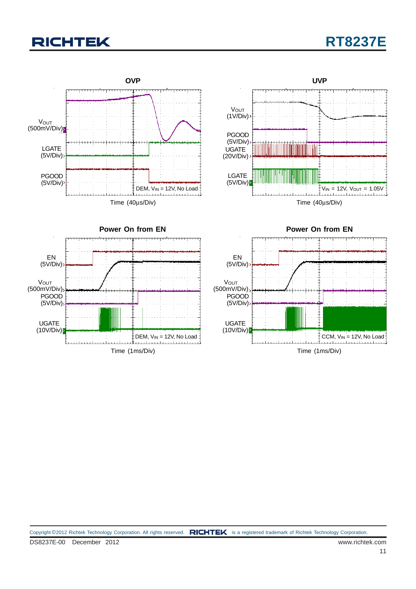## **RT8237E**

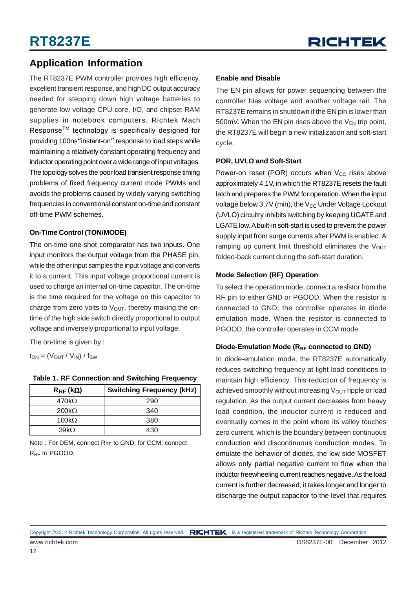### **Application Information**

The RT8237E PWM controller provides high efficiency, excellent transient response, and high DC output accuracy needed for stepping down high voltage batteries to generate low voltage CPU core, I/O, and chipset RAM supplies in notebook computers. Richtek Mach ResponseTM technology is specifically designed for providing 100ns"instant-on" response to load steps while maintaining a relatively constant operating frequency and inductor operating point over a wide range of input voltages. The topology solves the poor load transient response timing problems of fixed frequency current mode PWMs and avoids the problems caused by widely varying switching frequencies in conventional constant on-time and constant off-time PWM schemes.

#### **On-Time Control (TON/MODE)**

The on-time one-shot comparator has two inputs. One input monitors the output voltage from the PHASE pin, while the other input samples the input voltage and converts it to a current. This input voltage proportional current is used to charge an internal on-time capacitor. The on-time is the time required for the voltage on this capacitor to charge from zero volts to  $V<sub>OUT</sub>$ , thereby making the ontime of the high side switch directly proportional to output voltage and inversely proportional to input voltage.

The on-time is given by :

 $t_{ON} = (V_{OUT} / V_{IN}) / f_{SW}$ 

| $R_{RF}$ (kΩ) | <b>Switching Frequency (kHz)</b> |
|---------------|----------------------------------|
| 470k $\Omega$ | 290                              |
| $200k\Omega$  | 340                              |
| 100 $k\Omega$ | 380                              |
| 39kO          | 430                              |

#### **Table 1. RF Connection and Switching Frequency**

Note : For DEM, connect R<sub>RF</sub> to GND; for CCM, connect R<sub>RF</sub> to PGOOD.

#### **Enable and Disable**

The EN pin allows for power sequencing between the controller bias voltage and another voltage rail. The RT8237E remains in shutdown if the EN pin is lower than 500mV. When the EN pin rises above the  $V_{FN}$  trip point, the RT8237E will begin a new initialization and soft-start cycle.

#### **POR, UVLO and Soft-Start**

Power-on reset (POR) occurs when  $V_{CC}$  rises above approximately 4.1V, in which the RT8237E resets the fault latch and prepares the PWM for operation. When the input voltage below 3.7V (min), the  $V_{CC}$  Under Voltage Lockout (UVLO) circuitry inhibits switching by keeping UGATE and LGATE low. A built-in soft-start is used to prevent the power supply input from surge currents after PWM is enabled. A ramping up current limit threshold eliminates the  $V_{OUT}$ folded-back current during the soft-start duration.

#### **Mode Selection (RF) Operation**

To select the operation mode, connect a resistor from the RF pin to either GND or PGOOD. When the resistor is connected to GND, the controller operates in diode emulation mode. When the resistor is connected to PGOOD, the controller operates in CCM mode.

#### Diode-Emulation Mode (R<sub>RF</sub> connected to GND)

In diode-emulation mode, the RT8237E automatically reduces switching frequency at light load conditions to maintain high efficiency. This reduction of frequency is achieved smoothly without increasing  $V_{\text{OUT}}$  ripple or load regulation. As the output current decreases from heavy load condition, the inductor current is reduced and eventually comes to the point where its valley touches zero current, which is the boundary between continuous conduction and discontinuous conduction modes. To emulate the behavior of diodes, the low side MOSFET allows only partial negative current to flow when the inductor freewheeling current reaches negative. As the load current is further decreased, it takes longer and longer to discharge the output capacitor to the level that requires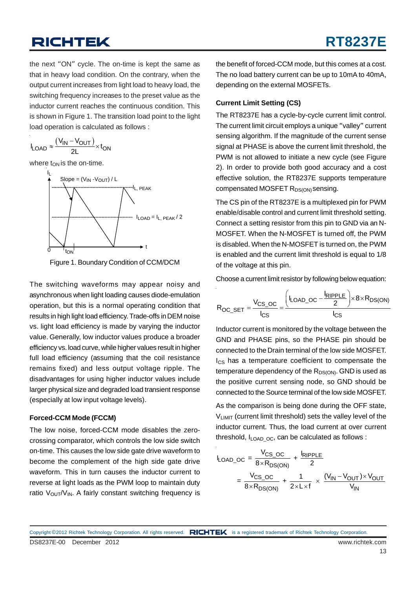the next "ON" cycle. The on-time is kept the same as that in heavy load condition. On the contrary, when the output current increases from light load to heavy load, the switching frequency increases to the preset value as the inductor current reaches the continuous condition. This is shown in Figure 1. The transition load point to the light load operation is calculated as follows :

$$
I_{\text{LOAD}} \approx \frac{(V_{\text{IN}} - V_{\text{OUT}})}{2L} \times t_{\text{ON}}
$$

where  $t_{ON}$  is the on-time.





The switching waveforms may appear noisy and asynchronous when light loading causes diode-emulation operation, but this is a normal operating condition that results in high light load efficiency. Trade-offs in DEM noise vs. light load efficiency is made by varying the inductor value. Generally, low inductor values produce a broader efficiency vs. load curve, while higher values result in higher full load efficiency (assuming that the coil resistance remains fixed) and less output voltage ripple. The disadvantages for using higher inductor values include larger physical size and degraded load transient response (especially at low input voltage levels).

#### **Forced-CCM Mode (FCCM)**

The low noise, forced-CCM mode disables the zerocrossing comparator, which controls the low side switch on-time. This causes the low side gate drive waveform to become the complement of the high side gate drive waveform. This in turn causes the inductor current to reverse at light loads as the PWM loop to maintain duty ratio  $V_{\text{OUT}}/V_{\text{IN}}$ . A fairly constant switching frequency is

the benefit of forced-CCM mode, but this comes at a cost. The no load battery current can be up to 10mA to 40mA, depending on the external MOSFETs.

#### **Current Limit Setting (CS)**

The RT8237E has a cycle-by-cycle current limit control. The current limit circuit employs a unique "valley" current sensing algorithm. If the magnitude of the current sense signal at PHASE is above the current limit threshold, the PWM is not allowed to initiate a new cycle (see Figure 2). In order to provide both good accuracy and a cost effective solution, the RT8237E supports temperature compensated MOSFET R<sub>DS(ON)</sub> sensing.

The CS pin of the RT8237E is a multiplexed pin for PWM enable/disable control and current limit threshold setting. Connect a setting resistor from this pin to GND via an N-MOSFET. When the N-MOSFET is turned off, the PWM is disabled. When the N-MOSFET is turned on, the PWM is enabled and the current limit threshold is equal to 1/8 of the voltage at this pin.

Choose a current limit resistor by following below equation:

$$
R_{OC\_SET} = \frac{V_{CS\_OC}}{I_{CS}} = \frac{\left(I_{LOAD\_OC} - \frac{I_{RIPPLE}}{2}\right) \times 8 \times R_{DS(ON)}}{I_{CS}}
$$

Inductor current is monitored by the voltage between the GND and PHASE pins, so the PHASE pin should be connected to the Drain terminal of the low side MOSFET. Ics has a temperature coefficient to compensate the temperature dependency of the  $R_{DS(ON)}$ . GND is used as the positive current sensing node, so GND should be connected to the Source terminal of the low side MOSFET.

As the comparison is being done during the OFF state, VLIMIT (current limit threshold) sets the valley level of the inductor current. Thus, the load current at over current threshold,  $I_{LOADOC}$ , can be calculated as follows :

$$
I_{\text{LOAD\_OC}} = \frac{V_{\text{CS\_OC}}}{8 \times R_{\text{DS(ON)}}} + \frac{I_{\text{RIPPLE}}}{2}
$$

$$
= \frac{V_{\text{CS\_OC}}}{8 \times R_{\text{DS(ON)}}} + \frac{1}{2 \times L \times f} \times \frac{(V_{\text{IN}} - V_{\text{OUT}}) \times V_{\text{OUT}}}{V_{\text{IN}}}
$$

DS8237E-00 December 2012 www.richtek.com Copyright ©2012 Richtek Technology Corporation. All rights reserved. RICHTEK is a registered trademark of Richtek Technology Corporation.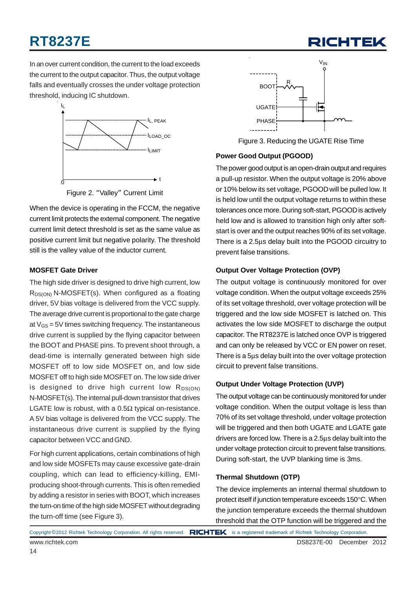

In an over current condition, the current to the load exceeds the current to the output capacitor. Thus, the output voltage falls and eventually crosses the under voltage protection threshold, inducing IC shutdown.



Figure 2. "Valley" Current Limit

When the device is operating in the FCCM, the negative current limit protects the external component. The negative current limit detect threshold is set as the same value as positive current limit but negative polarity. The threshold still is the valley value of the inductor current.

#### **MOSFET Gate Driver**

The high side driver is designed to drive high current, low  $R_{DS(ON)}$  N-MOSFET(s). When configured as a floating driver, 5V bias voltage is delivered from the VCC supply. The average drive current is proportional to the gate charge at  $V_{GS}$  = 5V times switching frequency. The instantaneous drive current is supplied by the flying capacitor between the BOOT and PHASE pins. To prevent shoot through, a dead-time is internally generated between high side MOSFET off to low side MOSFET on, and low side MOSFET off to high side MOSFET on. The low side driver is designed to drive high current low  $R_{DS(ON)}$ N-MOSFET(s). The internal pull-down transistor that drives LGATE low is robust, with a  $0.5\Omega$  typical on-resistance. A 5V bias voltage is delivered from the VCC supply. The instantaneous drive current is supplied by the flying capacitor between VCC and GND.

For high current applications, certain combinations of high and low side MOSFETs may cause excessive gate-drain coupling, which can lead to efficiency-killing, EMIproducing shoot-through currents. This is often remedied by adding a resistor in series with BOOT, which increases the turn-on time of the high side MOSFET without degrading the turn-off time (see Figure 3).



Figure 3. Reducing the UGATE Rise Time

#### **Power Good Output (PGOOD)**

The power good output is an open-drain output and requires a pull-up resistor. When the output voltage is 20% above or 10% below its set voltage, PGOOD will be pulled low. It is held low until the output voltage returns to within these tolerances once more. During soft-start, PGOOD is actively held low and is allowed to transition high only after softstart is over and the output reaches 90% of its set voltage. There is a 2.5μs delay built into the PGOOD circuitry to prevent false transitions.

#### **Output Over Voltage Protection (OVP)**

The output voltage is continuously monitored for over voltage condition. When the output voltage exceeds 25% of its set voltage threshold, over voltage protection will be triggered and the low side MOSFET is latched on. This activates the low side MOSFET to discharge the output capacitor. The RT8237E is latched once OVP is triggered and can only be released by VCC or EN power on reset. There is a 5μs delay built into the over voltage protection circuit to prevent false transitions.

#### **Output Under Voltage Protection (UVP)**

The output voltage can be continuously monitored for under voltage condition. When the output voltage is less than 70% of its set voltage threshold, under voltage protection will be triggered and then both UGATE and LGATE gate drivers are forced low. There is a 2.5μs delay built into the under voltage protection circuit to prevent false transitions. During soft-start, the UVP blanking time is 3ms.

#### **Thermal Shutdown (OTP)**

The device implements an internal thermal shutdown to protect itself if junction temperature exceeds 150°C. When the junction temperature exceeds the thermal shutdown threshold that the OTP function will be triggered and the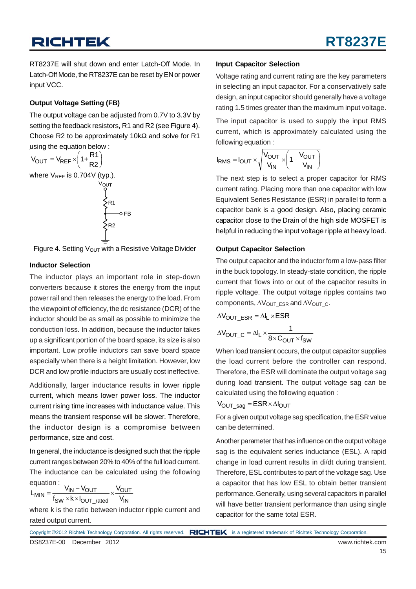RT8237E will shut down and enter Latch-Off Mode. In Latch-Off Mode, the RT8237E can be reset by EN or power input VCC.

#### **Output Voltage Setting (FB)**

The output voltage can be adjusted from 0.7V to 3.3V by setting the feedback resistors, R1 and R2 (see Figure 4). Choose R2 to be approximately 10k $\Omega$  and solve for R1 using the equation below :

$$
V_{OUT} = V_{REF} \times \left(1 + \frac{R1}{R2}\right)
$$
  
where  $V_{REF}$  is 0.704V (typ.).  

$$
V_{OUT}
$$
  

$$
\leftarrow
$$
  

$$
\leftarrow
$$
  

$$
\leftarrow
$$
  

$$
\leftarrow
$$
  

$$
\leftarrow
$$
  

$$
\leftarrow
$$
  

$$
\leftarrow
$$
  

$$
\leftarrow
$$
  

$$
\leftarrow
$$
  

$$
\leftarrow
$$
  

$$
\leftarrow
$$
  

$$
\leftarrow
$$
  

$$
\leftarrow
$$
  

$$
\leftarrow
$$
  

$$
\leftarrow
$$
  

$$
\leftarrow
$$
  

$$
\leftarrow
$$
  

$$
\leftarrow
$$
  

$$
\leftarrow
$$
  

$$
\leftarrow
$$
  

$$
\leftarrow
$$
  

$$
\leftarrow
$$
  

$$
\leftarrow
$$
  

$$
\leftarrow
$$
  

$$
\leftarrow
$$
  

$$
\leftarrow
$$
  

$$
\leftarrow
$$
  

$$
\leftarrow
$$
  

$$
\leftarrow
$$
  

$$
\leftarrow
$$
  

$$
\leftarrow
$$
  

$$
\leftarrow
$$
  

$$
\leftarrow
$$
  

$$
\leftarrow
$$
  

$$
\leftarrow
$$
  

$$
\leftarrow
$$
  

$$
\leftarrow
$$
  

$$
\leftarrow
$$
  

$$
\leftarrow
$$
  

$$
\leftarrow
$$
  

$$
\leftarrow
$$
  

$$
\leftarrow
$$
  

$$
\leftarrow
$$
  

$$
\leftarrow
$$
  

$$
\leftarrow
$$
  

$$
\leftarrow
$$
  

$$
\leftarrow
$$
  

$$
\leftarrow
$$
  

$$
\leftarrow
$$

Figure 4. Setting  $V_{\text{OUT}}$  with a Resistive Voltage Divider

#### **Inductor Selection**

The inductor plays an important role in step-down converters because it stores the energy from the input power rail and then releases the energy to the load. From the viewpoint of efficiency, the dc resistance (DCR) of the inductor should be as small as possible to minimize the conduction loss. In addition, because the inductor takes up a significant portion of the board space, its size is also important. Low profile inductors can save board space especially when there is a height limitation. However, low DCR and low profile inductors are usually cost ineffective.

Additionally, larger inductance results in lower ripple current, which means lower power loss. The inductor current rising time increases with inductance value. This means the transient response will be slower. Therefore, the inductor design is a compromise between performance, size and cost.

In general, the inductance is designed such that the ripple current ranges between 20% to 40% of the full load current. The inductance can be calculated using the following equation :

$$
L_{MIN} = \frac{V_{IN} - V_{OUT}}{f_{SW} \times k \times I_{OUT\_rated}} \times \frac{V_{OUT}}{V_{IN}}
$$

where k is the ratio between inductor ripple current and rated output current.

#### **Input Capacitor Selection**

Voltage rating and current rating are the key parameters in selecting an input capacitor. For a conservatively safe design, an input capacitor should generally have a voltage rating 1.5 times greater than the maximum input voltage.

The input capacitor is used to supply the input RMS current, which is approximately calculated using the following equation :

$$
I_{RMS} = I_{OUT} \times \sqrt{\frac{V_{OUT}}{V_{IN}}} \times \left(1 - \frac{V_{OUT}}{V_{IN}}\right)
$$

The next step is to select a proper capacitor for RMS current rating. Placing more than one capacitor with low Equivalent Series Resistance (ESR) in parallel to form a capacitor bank is a good design. Also, placing ceramic capacitor close to the Drain of the high side MOSFET is helpful in reducing the input voltage ripple at heavy load.

#### **Output Capacitor Selection**

The output capacitor and the inductor form a low-pass filter in the buck topology. In steady-state condition, the ripple current that flows into or out of the capacitor results in ripple voltage. The output voltage ripples contains two components,  $\Delta V_{\text{OUT}}$  ESR and  $\Delta V_{\text{OUT}}$  c.

$$
\Delta V_{OUT\_ESR} = \Delta I_L \times ESR
$$

$$
\Delta V_{OUT\_C} = \Delta I_L \times \frac{1}{8 \times C_{OUT} \times f_{SW}}
$$

When load transient occurs, the output capacitor supplies the load current before the controller can respond. Therefore, the ESR will dominate the output voltage sag during load transient. The output voltage sag can be calculated using the following equation :

$$
V_{OUT\_sag} = ESR \times \Delta I_{OUT}
$$

For a given output voltage sag specification, the ESR value can be determined.

Another parameter that has influence on the output voltage sag is the equivalent series inductance (ESL). A rapid change in load current results in di/dt during transient. Therefore, ESL contributes to part of the voltage sag. Use a capacitor that has low ESL to obtain better transient performance. Generally, using several capacitors in parallel will have better transient performance than using single capacitor for the same total ESR.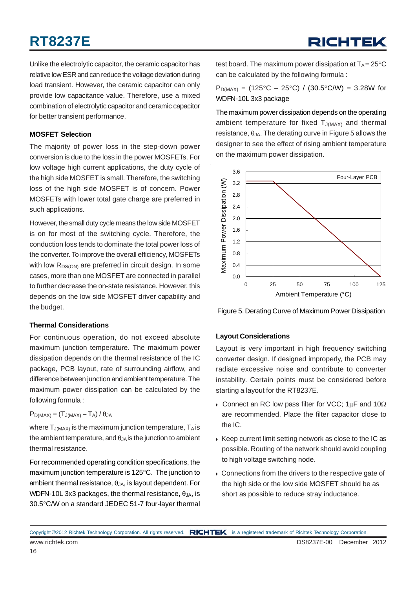Unlike the electrolytic capacitor, the ceramic capacitor has relative low ESR and can reduce the voltage deviation during load transient. However, the ceramic capacitor can only provide low capacitance value. Therefore, use a mixed combination of electrolytic capacitor and ceramic capacitor for better transient performance.

#### **MOSFET Selection**

The majority of power loss in the step-down power conversion is due to the loss in the power MOSFETs. For low voltage high current applications, the duty cycle of the high side MOSFET is small. Therefore, the switching loss of the high side MOSFET is of concern. Power MOSFETs with lower total gate charge are preferred in such applications.

However, the small duty cycle means the low side MOSFET is on for most of the switching cycle. Therefore, the conduction loss tends to dominate the total power loss of the converter. To improve the overall efficiency, MOSFETs with low  $R_{DS(ON)}$  are preferred in circuit design. In some cases, more than one MOSFET are connected in parallel to further decrease the on-state resistance. However, this depends on the low side MOSFET driver capability and the budget.

#### **Thermal Considerations**

For continuous operation, do not exceed absolute maximum junction temperature. The maximum power dissipation depends on the thermal resistance of the IC package, PCB layout, rate of surrounding airflow, and difference between junction and ambient temperature. The maximum power dissipation can be calculated by the following formula :

 $P_{D(MAX)} = (T_{J(MAX)} - T_A) / \theta_{JA}$ 

where  $T_{J(MAX)}$  is the maximum junction temperature,  $T_A$  is the ambient temperature, and  $\theta_{JA}$  is the junction to ambient thermal resistance.

For recommended operating condition specifications, the maximum junction temperature is 125°C. The junction to ambient thermal resistance,  $\theta_{JA}$ , is layout dependent. For WDFN-10L 3x3 packages, the thermal resistance,  $\theta_{JA}$ , is 30.5°C/W on a standard JEDEC 51-7 four-layer thermal

test board. The maximum power dissipation at  $T_A = 25^{\circ}C$ can be calculated by the following formula :

 $P_{D(MAX)} = (125^{\circ}C - 25^{\circ}C) / (30.5^{\circ}C/W) = 3.28W$  for WDFN-10L 3x3 package

The maximum power dissipation depends on the operating ambient temperature for fixed  $T_{J(MAX)}$  and thermal  $resistance,  $\theta_{JA}$ . The derating curve in Figure 5 allows the$ designer to see the effect of rising ambient temperature on the maximum power dissipation.



Figure 5. Derating Curve of Maximum Power Dissipation

#### **Layout Considerations**

Layout is very important in high frequency switching converter design. If designed improperly, the PCB may radiate excessive noise and contribute to converter instability. Certain points must be considered before starting a layout for the RT8237E.

- $\rightarrow$  Connect an RC low pass filter for VCC; 1μF and 10Ω are recommended. Place the filter capacitor close to the IC.
- $\triangleright$  Keep current limit setting network as close to the IC as possible. Routing of the network should avoid coupling to high voltage switching node.
- $\triangleright$  Connections from the drivers to the respective gate of the high side or the low side MOSFET should be as short as possible to reduce stray inductance.

www.richtek.com DS8237E-00 December 2012 Copyright ©2012 Richtek Technology Corporation. All rights reserved. RICHTEK is a registered trademark of Richtek Technology Corporation.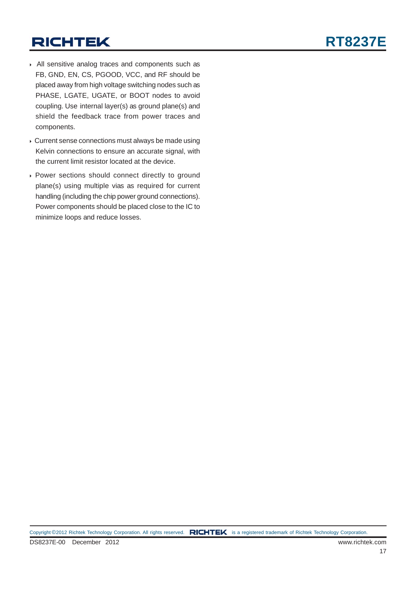- ` All sensitive analog traces and components such as FB, GND, EN, CS, PGOOD, VCC, and RF should be placed away from high voltage switching nodes such as PHASE, LGATE, UGATE, or BOOT nodes to avoid coupling. Use internal layer(s) as ground plane(s) and shield the feedback trace from power traces and components.
- ` Current sense connections must always be made using Kelvin connections to ensure an accurate signal, with the current limit resistor located at the device.
- ` Power sections should connect directly to ground plane(s) using multiple vias as required for current handling (including the chip power ground connections). Power components should be placed close to the IC to minimize loops and reduce losses.